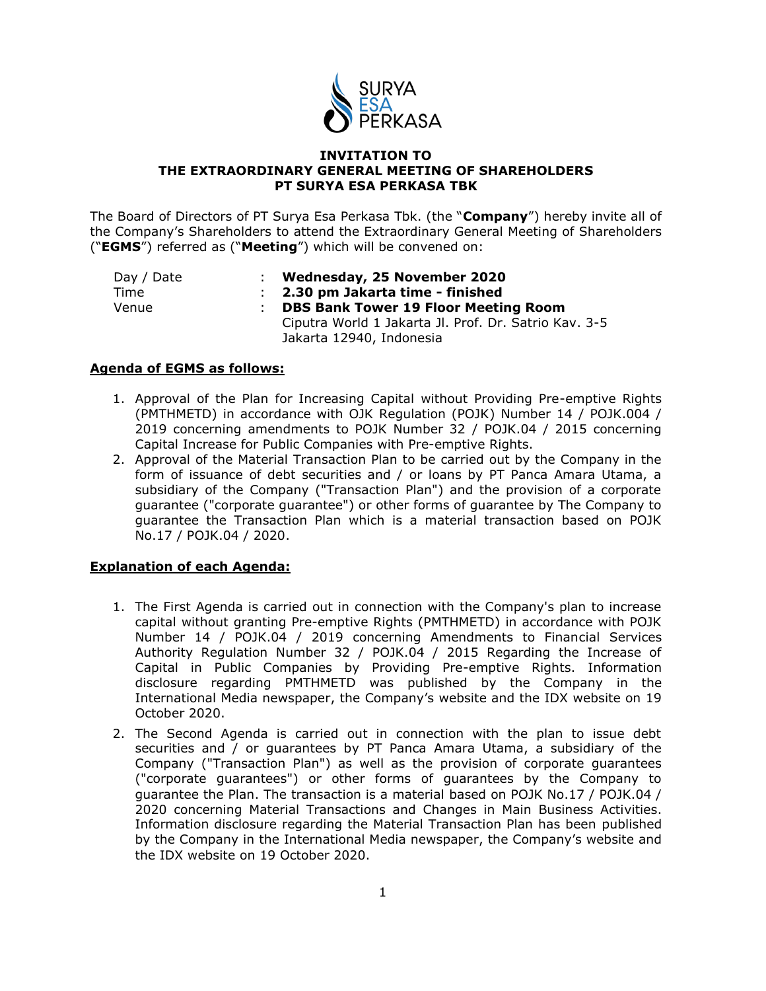

## **INVITATION TO THE EXTRAORDINARY GENERAL MEETING OF SHAREHOLDERS PT SURYA ESA PERKASA TBK**

The Board of Directors of PT Surya Esa Perkasa Tbk. (the "**Company**") hereby invite all of the Company's Shareholders to attend the Extraordinary General Meeting of Shareholders ("**EGMS**") referred as ("**Meeting**") which will be convened on:

| Day / Date | Wednesday, 25 November 2020                           |
|------------|-------------------------------------------------------|
| Time       | : 2.30 pm Jakarta time - finished                     |
| Venue      | <b>DBS Bank Tower 19 Floor Meeting Room</b>           |
|            | Ciputra World 1 Jakarta Jl. Prof. Dr. Satrio Kav. 3-5 |
|            | Jakarta 12940, Indonesia                              |

## **Agenda of EGMS as follows:**

- 1. Approval of the Plan for Increasing Capital without Providing Pre-emptive Rights (PMTHMETD) in accordance with OJK Regulation (POJK) Number 14 / POJK.004 / 2019 concerning amendments to POJK Number 32 / POJK.04 / 2015 concerning Capital Increase for Public Companies with Pre-emptive Rights.
- 2. Approval of the Material Transaction Plan to be carried out by the Company in the form of issuance of debt securities and / or loans by PT Panca Amara Utama, a subsidiary of the Company ("Transaction Plan") and the provision of a corporate guarantee ("corporate guarantee") or other forms of guarantee by The Company to guarantee the Transaction Plan which is a material transaction based on POJK No.17 / POJK.04 / 2020.

# **Explanation of each Agenda:**

- 1. The First Agenda is carried out in connection with the Company's plan to increase capital without granting Pre-emptive Rights (PMTHMETD) in accordance with POJK Number 14 / POJK.04 / 2019 concerning Amendments to Financial Services Authority Regulation Number 32 / POJK.04 / 2015 Regarding the Increase of Capital in Public Companies by Providing Pre-emptive Rights. Information disclosure regarding PMTHMETD was published by the Company in the International Media newspaper, the Company's website and the IDX website on 19 October 2020.
- 2. The Second Agenda is carried out in connection with the plan to issue debt securities and / or guarantees by PT Panca Amara Utama, a subsidiary of the Company ("Transaction Plan") as well as the provision of corporate guarantees ("corporate guarantees") or other forms of guarantees by the Company to guarantee the Plan. The transaction is a material based on POJK No.17 / POJK.04 / 2020 concerning Material Transactions and Changes in Main Business Activities. Information disclosure regarding the Material Transaction Plan has been published by the Company in the International Media newspaper, the Company's website and the IDX website on 19 October 2020.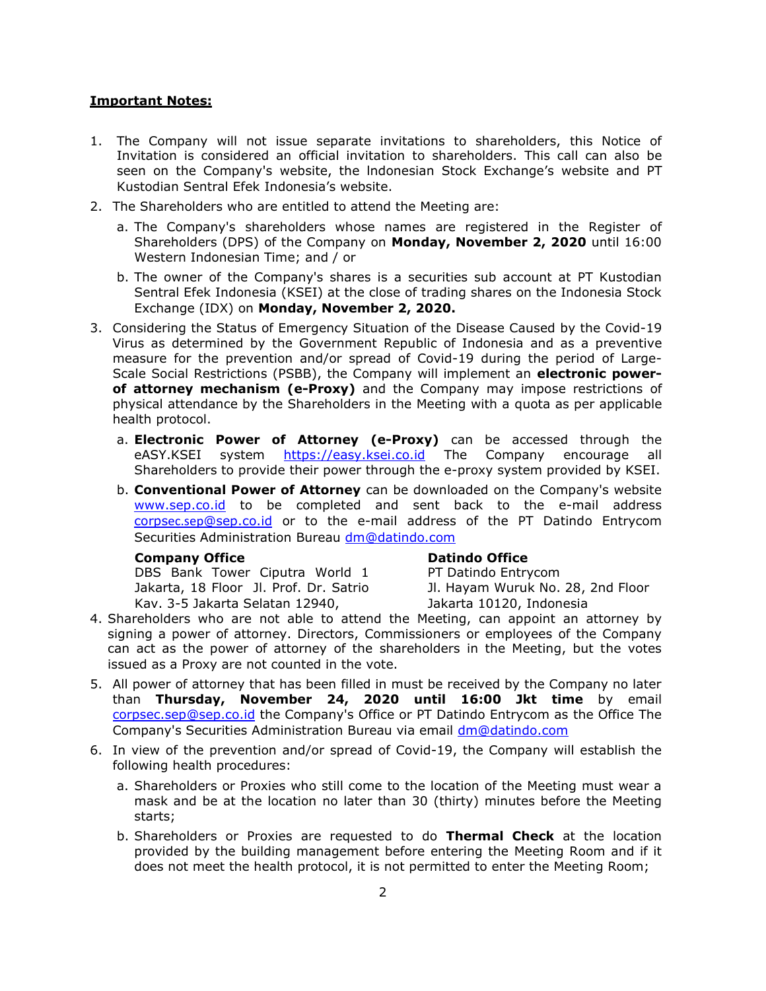## **Important Notes:**

- 1. The Company will not issue separate invitations to shareholders, this Notice of Invitation is considered an official invitation to shareholders. This call can also be seen on the Company's website, the lndonesian Stock Exchange's website and PT Kustodian Sentral Efek Indonesia's website.
- 2. The Shareholders who are entitled to attend the Meeting are:
	- a. The Company's shareholders whose names are registered in the Register of Shareholders (DPS) of the Company on **Monday, November 2, 2020** until 16:00 Western Indonesian Time; and / or
	- b. The owner of the Company's shares is a securities sub account at PT Kustodian Sentral Efek Indonesia (KSEI) at the close of trading shares on the Indonesia Stock Exchange (IDX) on **Monday, November 2, 2020.**
- 3. Considering the Status of Emergency Situation of the Disease Caused by the Covid-19 Virus as determined by the Government Republic of Indonesia and as a preventive measure for the prevention and/or spread of Covid-19 during the period of Large-Scale Social Restrictions (PSBB), the Company will implement an **electronic powerof attorney mechanism (e-Proxy)** and the Company may impose restrictions of physical attendance by the Shareholders in the Meeting with a quota as per applicable health protocol.
	- a. **Electronic Power of Attorney (e-Proxy)** can be accessed through the eASY.KSEI system [https://easy.ksei.co.id](https://easy.ksei.co.id/) The Company encourage all Shareholders to provide their power through the e-proxy system provided by KSEI.
	- b. **Conventional Power of Attorney** can be downloaded on the Company's website [www.sep.co.id](http://www.sep.co.id/) to be completed and sent back to the e-mail address corpsec.sep[@sep.co.id](mailto:corporate.secretary@sep.co.id) or to the e-mail address of the PT Datindo Entrycom Securities Administration Bureau [dm@datindo.com](mailto:dm@datindo.com)

#### **Company Office**

DBS Bank Tower Ciputra World 1 Jakarta, 18 Floor Jl. Prof. Dr. Satrio Kav. 3-5 Jakarta Selatan 12940,

#### **Datindo Office**

PT Datindo Entrycom

Jl. Hayam Wuruk No. 28, 2nd Floor Jakarta 10120, Indonesia

- 4. Shareholders who are not able to attend the Meeting, can appoint an attorney by signing a power of attorney. Directors, Commissioners or employees of the Company can act as the power of attorney of the shareholders in the Meeting, but the votes issued as a Proxy are not counted in the vote.
- 5. All power of attorney that has been filled in must be received by the Company no later than **Thursday, November 24, 2020 until 16:00 Jkt time** by email [corpsec.sep@sep.co.id](mailto:corpsec.sep@sep.co.id) the Company's Office or PT Datindo Entrycom as the Office The Company's Securities Administration Bureau via email [dm@datindo.com](mailto:dm@datindo.com)
- 6. In view of the prevention and/or spread of Covid-19, the Company will establish the following health procedures:
	- a. Shareholders or Proxies who still come to the location of the Meeting must wear a mask and be at the location no later than 30 (thirty) minutes before the Meeting starts;
	- b. Shareholders or Proxies are requested to do **Thermal Check** at the location provided by the building management before entering the Meeting Room and if it does not meet the health protocol, it is not permitted to enter the Meeting Room;